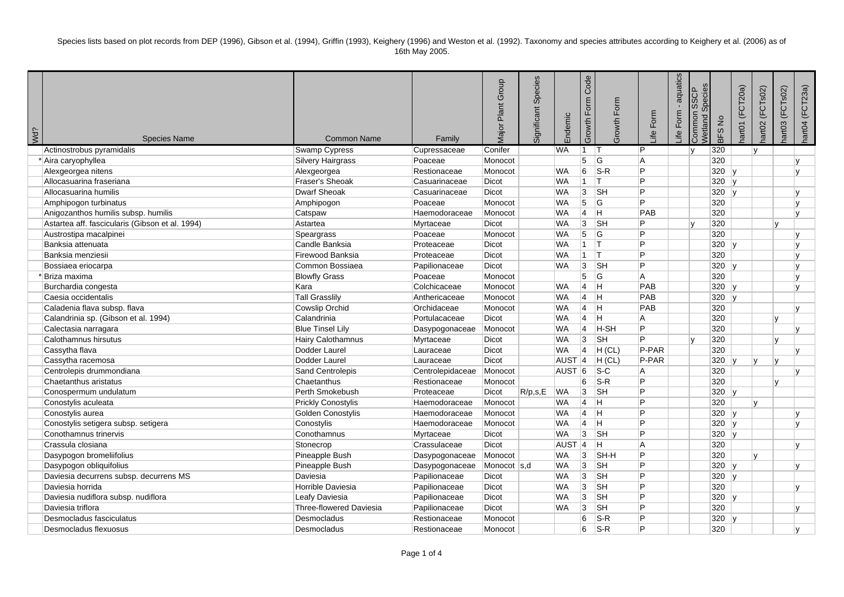Species lists based on plot records from DEP (1996), Gibson et al. (1994), Griffin (1993), Keighery (1996) and Weston et al. (1992). Taxonomy and species attributes according to Keighery et al. (2006) as of 16th May 2005.

| <b>¿PM</b> | <b>Species Name</b>                             | Common Name               | Family           | Group<br>Plant<br>Major | Species<br>Significant | Endemic           | Code<br>Growth Form | Growth Form               | ife Form       | aquatics<br>Form<br>ീ∺. | Species<br><b>SSCP</b><br>Common<br><b>Netland</b> | BFS No       | (FCT20a)<br>art01      | (FCTsO2)<br>art02 | (FCTsO2)<br>iartO <sub>3</sub> | nart04 (FCT23a) |
|------------|-------------------------------------------------|---------------------------|------------------|-------------------------|------------------------|-------------------|---------------------|---------------------------|----------------|-------------------------|----------------------------------------------------|--------------|------------------------|-------------------|--------------------------------|-----------------|
|            | Actinostrobus pyramidalis                       | Swamp Cypress             | Cupressaceae     | Conifer                 |                        | <b>WA</b>         | $\mathbf{1}$        | IΤ                        | IP.            |                         | lv.                                                | 320          |                        | lv.               |                                |                 |
|            | * Aira caryophyllea                             | Silvery Hairgrass         | Poaceae          | Monocot                 |                        |                   | 5 <sup>7</sup>      | $\overline{G}$            | A              |                         |                                                    | 320          |                        |                   |                                |                 |
|            | Alexgeorgea nitens                              | Alexgeorgea               | Restionaceae     | Monocot                 |                        | <b>WA</b>         | 6                   | $S-R$                     | ∣P             |                         |                                                    | 320          | l v                    |                   |                                | $\mathbf{v}$    |
|            | Allocasuarina fraseriana                        | Fraser's Sheoak           | Casuarinaceae    | <b>Dicot</b>            |                        | <b>WA</b>         | ∣1⊹                 | IТ.                       | Þ              |                         |                                                    | 320          | l v                    |                   |                                |                 |
|            | Allocasuarina humilis                           | <b>Dwarf Sheoak</b>       | Casuarinaceae    | Dicot                   |                        | <b>WA</b>         | 3                   | SH                        | Þ              |                         |                                                    | 320          | $\overline{u}$         |                   |                                |                 |
|            | Amphipogon turbinatus                           | Amphipogon                | Poaceae          | Monocot                 |                        | <b>WA</b>         | $\overline{5}$      | lG.                       | Þ              |                         |                                                    | 320          |                        |                   |                                | $\mathbf{v}$    |
|            | Anigozanthos humilis subsp. humilis             | Catspaw                   | Haemodoraceae    | Monocot                 |                        | <b>WA</b>         | <u> 4</u>           | $\overline{\mathbf{H}}$   | PAB            |                         |                                                    | 320          |                        |                   |                                | $\mathbf{v}$    |
|            | Astartea aff. fascicularis (Gibson et al. 1994) | Astartea                  | Myrtaceae        | <b>Dicot</b>            |                        | <b>WA</b>         | $\overline{3}$      | $\overline{\mathsf{S}}$ H | Þ              |                         | $\overline{v}$                                     | 320          |                        |                   | $\mathsf{v}$                   |                 |
|            | Austrostipa macalpinei                          | Speargrass                | Poaceae          | Monocot                 |                        | <b>WA</b>         | $\overline{5}$      | G                         | Þ              |                         |                                                    | 320          |                        |                   |                                | $\mathbf{v}$    |
|            | Banksia attenuata                               | Candle Banksia            | Proteaceae       | Dicot                   |                        | <b>WA</b>         | $\mathbf{1}$        | Iт.                       | Þ              |                         |                                                    | 320          | ۱v                     |                   |                                | v               |
|            | Banksia menziesii                               | Firewood Banksia          | Proteaceae       | Dicot                   |                        | <b>WA</b>         | $\overline{1}$      | T                         | Þ              |                         |                                                    | 320          |                        |                   |                                | $\mathbf{v}$    |
|            | Bossiaea eriocarpa                              | Common Bossiaea           | Papilionaceae    | Dicot                   |                        | <b>WA</b>         | $\vert 3 \vert$     | $\overline{\mathsf{S}}$ H | Þ              |                         |                                                    | 320          | $\mathsf{I}\mathsf{v}$ |                   |                                | v               |
|            | Briza maxima                                    | <b>Blowfly Grass</b>      | Poaceae          | Monocot                 |                        |                   | 5                   | G                         | l A            |                         |                                                    | 320          |                        |                   |                                | $\mathbf{v}$    |
|            | Burchardia congesta                             | Kara                      | Colchicaceae     | Monocot                 |                        | <b>WA</b>         | $ 4\rangle$         | H                         | PAB            |                         |                                                    | 320          | IV.                    |                   |                                | $\mathbf{v}$    |
|            | Caesia occidentalis                             | <b>Tall Grasslily</b>     | Anthericaceae    | Monocot                 |                        | <b>WA</b>         | $\vert 4 \vert$     | $\overline{H}$            | PAB            |                         |                                                    | 320          | $\mathbf{v}$           |                   |                                |                 |
|            | Caladenia flava subsp. flava                    | Cowslip Orchid            | Orchidaceae      | Monocot                 |                        | <b>WA</b>         | $\vert 4 \vert$     | lн                        | PAB            |                         |                                                    | 320          |                        |                   |                                |                 |
|            | Calandrinia sp. (Gibson et al. 1994)            | Calandrinia               | Portulacaceae    | <b>Dicot</b>            |                        | <b>WA</b>         | $ 4\rangle$         | lн                        | l A            |                         |                                                    | 320          |                        |                   | $\mathbf{v}$                   |                 |
|            | Calectasia narragara                            | <b>Blue Tinsel Lily</b>   | Dasypogonaceae   | Monocot                 |                        | <b>WA</b>         | $\vert 4 \vert$     | $H-SH$                    | P              |                         |                                                    | 320          |                        |                   |                                | v               |
|            | Calothamnus hirsutus                            | <b>Hairy Calothamnus</b>  | Myrtaceae        | <b>Dicot</b>            |                        | <b>WA</b>         | $ 3\rangle$         | <b>SH</b>                 | $\overline{P}$ |                         | $\overline{V}$                                     | 320          |                        |                   | $\mathbf{v}$                   |                 |
|            | Cassytha flava                                  | Dodder Laurel             | Lauraceae        | Dicot                   |                        | <b>WA</b>         | $ 4\rangle$         | H (CL)                    | P-PAR          |                         |                                                    | 320          |                        |                   |                                | $\mathbf{v}$    |
|            | Cassytha racemosa                               | Dodder Laurel             | Lauraceae        | <b>Dicot</b>            |                        | AUST <sub>4</sub> |                     | H (CL)                    | P-PAR          |                         |                                                    | 320          |                        | Iv.               | v                              |                 |
|            | Centrolepis drummondiana                        | Sand Centrolepis          | Centrolepidaceae | Monocot                 |                        | AUST <sup>6</sup> |                     | $\overline{\text{S-C}}$   | A              |                         |                                                    | 320          |                        |                   |                                |                 |
|            | Chaetanthus aristatus                           | Chaetanthus               | Restionaceae     | Monocot                 |                        |                   | 6                   | $S-R$                     | Þ              |                         |                                                    | 320          |                        |                   | $\mathbf{v}$                   |                 |
|            | Conospermum undulatum                           | Perth Smokebush           | Proteaceae       | <b>Dicot</b>            | R/p,s,E                | <b>WA</b>         | 3                   | <b>SH</b>                 | Þ              |                         |                                                    | $320 \mid y$ |                        |                   |                                |                 |
|            | Conostylis aculeata                             | <b>Prickly Conostylis</b> | Haemodoraceae    | Monocot                 |                        | <b>WA</b>         | $\vert 4 \vert$     | ΙH.                       | Þ              |                         |                                                    | 320          |                        | v                 |                                |                 |
|            | Conostylis aurea                                | Golden Conostylis         | Haemodoraceae    | Monocot                 |                        | <b>WA</b>         | $\vert 4 \vert$     | Iн.                       | ∣P             |                         |                                                    | $320$ y      |                        |                   |                                |                 |
|            | Conostylis setigera subsp. setigera             | Conostylis                | Haemodoraceae    | Monocot                 |                        | <b>WA</b>         | $\vert$ 4           | lн                        | Þ              |                         |                                                    | 320          | ۱v                     |                   |                                | $\mathbf{v}$    |
|            | Conothamnus trinervis                           | Conothamnus               | Myrtaceae        | Dicot                   |                        | <b>WA</b>         | 3                   | <b>SH</b>                 | Þ              |                         |                                                    | 320          | v                      |                   |                                |                 |
|            | Crassula closiana                               | Stonecrop                 | Crassulaceae     | Dicot                   |                        | AUST <sub>4</sub> |                     | lн                        | A              |                         |                                                    | 320          |                        |                   |                                |                 |
|            | Dasypogon bromeliifolius                        | Pineapple Bush            | Dasypogonaceae   | Monocot                 |                        | <b>WA</b>         | 3                   | SH-H                      | Þ              |                         |                                                    | 320          |                        | $\mathbf{v}$      |                                |                 |
|            | Dasypogon obliquifolius                         | Pineapple Bush            | Dasypogonaceae   | Monocot s,d             |                        | <b>WA</b>         | 3                   | <b>SH</b>                 | Þ              |                         |                                                    | 320          | ۱v                     |                   |                                |                 |
|            | Daviesia decurrens subsp. decurrens MS          | Daviesia                  | Papilionaceae    | Dicot                   |                        | <b>WA</b>         | 3                   | <b>SH</b>                 | Þ              |                         |                                                    | 320          | v                      |                   |                                |                 |
|            | Daviesia horrida                                | Horrible Daviesia         | Papilionaceae    | <b>Dicot</b>            |                        | <b>WA</b>         | 3                   | $\overline{\mathsf{S}}$ H | Þ              |                         |                                                    | 320          |                        |                   |                                |                 |
|            | Daviesia nudiflora subsp. nudiflora             | Leafy Daviesia            | Papilionaceae    | Dicot                   |                        | <b>WA</b>         | 3                   | <b>SH</b>                 | Þ              |                         |                                                    | 320          | ۱v                     |                   |                                |                 |
|            | Daviesia triflora                               | Three-flowered Daviesia   | Papilionaceae    | <b>Dicot</b>            |                        | <b>WA</b>         | 3                   | <b>SH</b>                 | Þ              |                         |                                                    | 320          |                        |                   |                                | v               |
|            | Desmocladus fasciculatus                        | Desmocladus               | Restionaceae     | Monocot                 |                        |                   | 6                   | $ S-R $                   | Þ              |                         |                                                    | 320          |                        |                   |                                |                 |
|            | Desmocladus flexuosus                           | Desmocladus               | Restionaceae     | Monocot                 |                        |                   | 6                   | $ S-R $                   | P              |                         |                                                    | 320          |                        |                   |                                | $\mathbf{v}$    |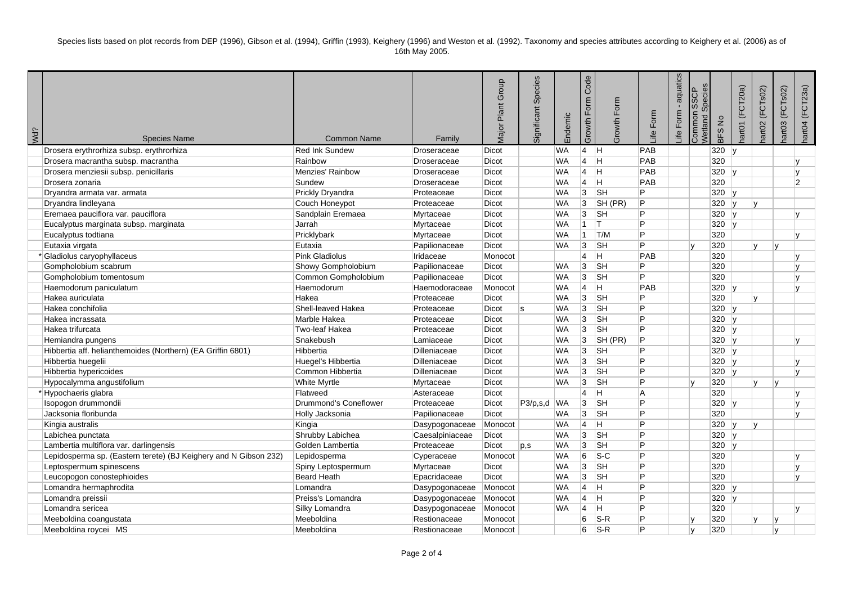Species lists based on plot records from DEP (1996), Gibson et al. (1994), Griffin (1993), Keighery (1996) and Weston et al. (1992). Taxonomy and species attributes according to Keighery et al. (2006) as of 16th May 2005.

| ¿PM | <b>Species Name</b>                                              | <b>Common Name</b>      | Family              | Group<br>Plant<br>Vlajor | Species<br>Significant | Endemic   | Code<br>Growth Form | Growth Form             | Form<br>life. | aquatics<br>Life Form | Species<br><b>SSCP</b><br>Common<br>Netland | <b>BFSNo</b> | art01 (FCT20a) | (FCTsO2)<br>lart02 | (FCTsO2)<br>iart <sub>03</sub> | nart04 (FCT23a) |
|-----|------------------------------------------------------------------|-------------------------|---------------------|--------------------------|------------------------|-----------|---------------------|-------------------------|---------------|-----------------------|---------------------------------------------|--------------|----------------|--------------------|--------------------------------|-----------------|
|     | Drosera erythrorhiza subsp. erythrorhiza                         | <b>Red Ink Sundew</b>   | Droseraceae         | Dicot                    |                        | <b>WA</b> | $ 4 $ H             |                         | PAB           |                       |                                             | 320          | $\mathbf{v}$   |                    |                                |                 |
|     | Drosera macrantha subsp. macrantha                               | Rainbow                 | Droseraceae         | Dicot                    |                        | <b>WA</b> | $\vert 4 \vert$     | H                       | PAB           |                       |                                             | 320          |                |                    |                                | v               |
|     | Drosera menziesii subsp. penicillaris                            | <b>Menzies' Rainbow</b> | Droseraceae         | <b>Dicot</b>             |                        | <b>WA</b> | <sup>4</sup>        | H                       | PAB           |                       |                                             | 320          | $\mathbf{v}$   |                    |                                | $\mathbf{v}$    |
|     | Drosera zonaria                                                  | Sundew                  | Droseraceae         | Dicot                    |                        | <b>WA</b> | $\overline{4}$      | $\overline{\mathsf{H}}$ | PAB           |                       |                                             | 320          |                |                    |                                | $\overline{2}$  |
|     | Dryandra armata var. armata                                      | Prickly Dryandra        | Proteaceae          | Dicot                    |                        | <b>WA</b> | $\vert 3 \vert$     | <b>SH</b>               | P             |                       |                                             | 320          | lv.            |                    |                                |                 |
|     | Dryandra lindleyana                                              | Couch Honeypot          | Proteaceae          | Dicot                    |                        | <b>WA</b> | 3                   | SH (PR)                 | P             |                       |                                             | 320          | $\mathbf{v}$   |                    |                                |                 |
|     | Eremaea pauciflora var. pauciflora                               | Sandplain Eremaea       | Myrtaceae           | <b>Dicot</b>             |                        | <b>WA</b> | 3                   | <b>SH</b>               | P             |                       |                                             | 320          | Iv.            |                    |                                |                 |
|     | Eucalyptus marginata subsp. marginata                            | Jarrah                  | Myrtaceae           | Dicot                    |                        | <b>WA</b> | $\vert$ 1           | IT.                     | Þ             |                       |                                             | 320          |                |                    |                                |                 |
|     | Eucalyptus todtiana                                              | Pricklybark             | Myrtaceae           | Dicot                    |                        | <b>WA</b> | 11                  | T/M                     | P             |                       |                                             | 320          |                |                    |                                |                 |
|     | Eutaxia virgata                                                  | Eutaxia                 | Papilionaceae       | Dicot                    |                        | <b>WA</b> | 3                   | <b>SH</b>               | P.            |                       |                                             | 320          |                | $\mathbf{v}$       | $\mathbf{v}$                   |                 |
|     | * Gladiolus caryophyllaceus                                      | <b>Pink Gladiolus</b>   | Iridaceae           | Monocot                  |                        |           | $\overline{4}$      | lH.                     | PAB           |                       |                                             | 320          |                |                    |                                |                 |
|     | Gompholobium scabrum                                             | Showy Gompholobium      | Papilionaceae       | Dicot                    |                        | <b>WA</b> | $\overline{3}$      | <b>SH</b>               | P             |                       |                                             | 320          |                |                    |                                | $\mathsf{v}$    |
|     | Gompholobium tomentosum                                          | Common Gompholobium     | Papilionaceae       | <b>Dicot</b>             |                        | <b>WA</b> | $ 3\rangle$         | <b>SH</b>               | P             |                       |                                             | 320          |                |                    |                                |                 |
|     | Haemodorum paniculatum                                           | Haemodorum              | Haemodoraceae       | Monocot                  |                        | <b>WA</b> | 4                   | IH.                     | PAB           |                       |                                             | $320$ y      |                |                    |                                | v               |
|     | Hakea auriculata                                                 | Hakea                   | Proteaceae          | Dicot                    |                        | <b>WA</b> | 3                   | <b>SH</b>               | P             |                       |                                             | 320          |                | $\mathbf{v}$       |                                |                 |
|     | Hakea conchifolia                                                | Shell-leaved Hakea      | Proteaceae          | Dicot                    | ls                     | <b>WA</b> | 3                   | <b>SH</b>               | P             |                       |                                             | $320$ y      |                |                    |                                |                 |
|     | Hakea incrassata                                                 | Marble Hakea            | Proteaceae          | <b>Dicot</b>             |                        | <b>WA</b> | 3                   | <b>SH</b>               | P             |                       |                                             | 320          | Iv.            |                    |                                |                 |
|     | Hakea trifurcata                                                 | Two-leaf Hakea          | Proteaceae          | Dicot                    |                        | <b>WA</b> | 3                   | <b>SH</b>               | P             |                       |                                             | 320          | I۷             |                    |                                |                 |
|     | Hemiandra pungens                                                | Snakebush               | Lamiaceae           | Dicot                    |                        | <b>WA</b> | 3                   | SH (PR)                 | P             |                       |                                             | 320          | l٧             |                    |                                |                 |
|     | Hibbertia aff. helianthemoides (Northern) (EA Griffin 6801)      | Hibbertia               | <b>Dilleniaceae</b> | Dicot                    |                        | <b>WA</b> | $ 3\rangle$         | <b>SH</b>               | P             |                       |                                             | 320          | $\mathbf{v}$   |                    |                                |                 |
|     | Hibbertia huegelii                                               | Huegel's Hibbertia      | <b>Dilleniaceae</b> | <b>Dicot</b>             |                        | <b>WA</b> | 3                   | <b>SH</b>               | P             |                       |                                             | 320          | Iv.            |                    |                                |                 |
|     | Hibbertia hypericoides                                           | Common Hibbertia        | <b>Dilleniaceae</b> | Dicot                    |                        | <b>WA</b> | 3                   | <b>SH</b>               | P             |                       |                                             | 320          |                |                    |                                | $\mathbf{v}$    |
|     | Hypocalymma angustifolium                                        | <b>White Myrtle</b>     | Myrtaceae           | Dicot                    |                        | <b>WA</b> | 3                   | <b>SH</b>               | P             |                       |                                             | 320          |                | $\mathbf{v}$       |                                |                 |
|     | *Hypochaeris glabra                                              | Flatweed                | Asteraceae          | Dicot                    |                        |           | $\overline{4}$      | IH.                     | l A           |                       |                                             | 320          |                |                    |                                | $\mathsf{V}$    |
|     | Isopogon drummondii                                              | Drummond's Coneflower   | Proteaceae          | Dicot                    | $ P3/p,s,d $ WA        |           | $ 3\rangle$         | <b>SH</b>               | Þ             |                       |                                             | 320          |                |                    |                                | $\mathsf{V}$    |
|     | Jacksonia floribunda                                             | Holly Jacksonia         | Papilionaceae       | Dicot                    |                        | WA        | 3                   | <b>SH</b>               | P             |                       |                                             | 320          |                |                    |                                |                 |
|     | Kingia australis                                                 | Kingia                  | Dasypogonaceae      | Monocot                  |                        | <b>WA</b> | $\vert 4 \vert$     | lH.                     | P             |                       |                                             | 320          | lv.            | $\mathbf{v}$       |                                |                 |
|     | Labichea punctata                                                | Shrubby Labichea        | Caesalpiniaceae     | Dicot                    |                        | <b>WA</b> | $ 3\rangle$         | <b>SH</b>               | Þ             |                       |                                             | 320          | $\mathsf{v}$   |                    |                                |                 |
|     | Lambertia multiflora var. darlingensis                           | Golden Lambertia        | Proteaceae          | Dicot                    | p,s                    | <b>WA</b> | $\overline{3}$      | <b>SH</b>               | P             |                       |                                             | 320          | $\mathsf{v}$   |                    |                                |                 |
|     | Lepidosperma sp. (Eastern terete) (BJ Keighery and N Gibson 232) | Lepidosperma            | Cyperaceae          | Monocot                  |                        | <b>WA</b> | 6                   | $s-c$                   | P             |                       |                                             | 320          |                |                    |                                |                 |
|     | Leptospermum spinescens                                          | Spiny Leptospermum      | Myrtaceae           | Dicot                    |                        | <b>WA</b> | 3                   | <b>SH</b>               | P             |                       |                                             | 320          |                |                    |                                | $\mathsf{v}$    |
|     | Leucopogon conostephioides                                       | <b>Beard Heath</b>      | Epacridaceae        | Dicot                    |                        | <b>WA</b> | 3                   | <b>SH</b>               | P             |                       |                                             | 320          |                |                    |                                | $\mathbf{v}$    |
|     | Lomandra hermaphrodita                                           | Lomandra                | Dasypogonaceae      | Monocot                  |                        | <b>WA</b> | $\overline{4}$      | IH.                     | P             |                       |                                             | 320          | lv.            |                    |                                |                 |
|     | Lomandra preissii                                                | Preiss's Lomandra       | Dasypogonaceae      | Monocot                  |                        | <b>WA</b> | <sup>4</sup>        | ΙH                      | P             |                       |                                             | 320          | $\mathbf{v}$   |                    |                                |                 |
|     | Lomandra sericea                                                 | Silky Lomandra          | Dasypogonaceae      | Monocot                  |                        | <b>WA</b> | 4                   | $\overline{\mathsf{H}}$ | P             |                       |                                             | 320          |                |                    |                                |                 |
|     | Meeboldina coangustata                                           | Meeboldina              | Restionaceae        | Monocot                  |                        |           | 6                   | $ S-R$                  | P             |                       |                                             | 320          |                | v                  | v                              |                 |
|     | Meeboldina roycei MS                                             | Meeboldina              | Restionaceae        | Monocot                  |                        |           | 6                   | S-R                     | P             |                       | $\mathsf{v}$                                | 320          |                |                    | $\mathsf{v}$                   |                 |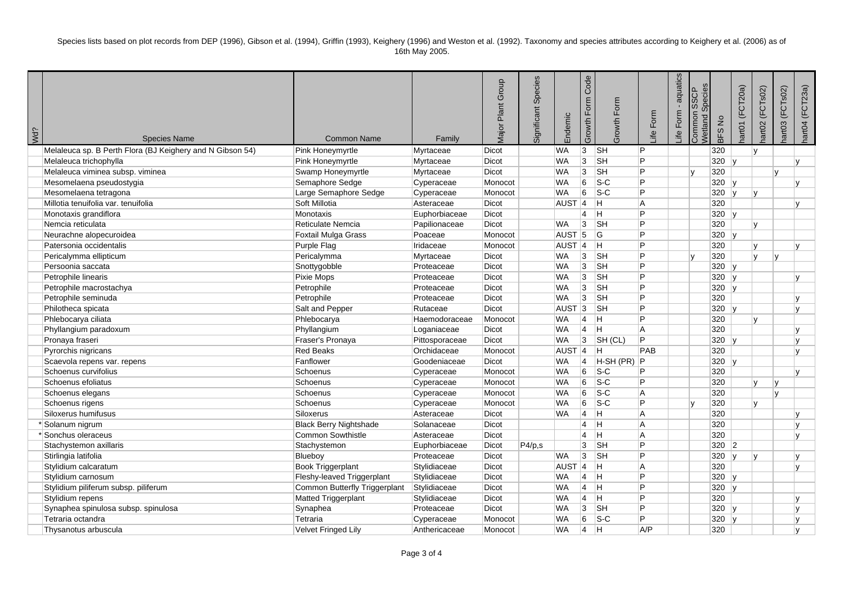Species lists based on plot records from DEP (1996), Gibson et al. (1994), Griffin (1993), Keighery (1996) and Weston et al. (1992). Taxonomy and species attributes according to Keighery et al. (2006) as of 16th May 2005.

| ¿PM | <b>Species Name</b>                                       | <b>Common Name</b>            | Family         | Group<br>Plant<br>Vlajor | Species<br>Significant | Endemic           | Code<br>Growth Form | Growth Form               | ife Form | aquatics<br>life Form. | Species<br><b>SSCP</b><br>Common<br>Netland | BFS No | (FCT20a)<br>art01 | (FCTsO2)<br>art02 | (FCTsO2)<br>iartO <sub>3</sub> | hart04 (FCT23a) |
|-----|-----------------------------------------------------------|-------------------------------|----------------|--------------------------|------------------------|-------------------|---------------------|---------------------------|----------|------------------------|---------------------------------------------|--------|-------------------|-------------------|--------------------------------|-----------------|
|     | Melaleuca sp. B Perth Flora (BJ Keighery and N Gibson 54) | Pink Honeymyrtle              | Myrtaceae      | <b>Dicot</b>             |                        | <b>WA</b>         | 3                   | <b>SH</b>                 | Þ        |                        |                                             | 320    |                   | Iv.               |                                |                 |
|     | Melaleuca trichophylla                                    | Pink Honeymyrtle              | Myrtaceae      | Dicot                    |                        | <b>WA</b>         | 3                   | $\overline{\mathsf{S}}$ H | P        |                        |                                             | 320    | $\overline{u}$    |                   |                                | $\mathbf{v}$    |
|     | Melaleuca viminea subsp. viminea                          | Swamp Honeymyrtle             | Myrtaceae      | Dicot                    |                        | <b>WA</b>         | 3                   | $\overline{\mathsf{S}}$ H | Þ        |                        | lv.                                         | 320    |                   |                   | $\mathbf{v}$                   |                 |
|     | Mesomelaena pseudostygia                                  | Semaphore Sedge               | Cyperaceae     | Monocot                  |                        | <b>WA</b>         | 6                   | $\overline{\text{S-C}}$   | Þ        |                        |                                             | 320    | ۱v                |                   |                                |                 |
|     | Mesomelaena tetragona                                     | Large Semaphore Sedge         | Cyperaceae     | Monocot                  |                        | <b>WA</b>         | 6                   | $ S-C $                   | Þ        |                        |                                             | 320    |                   | Iv.               |                                |                 |
|     | Millotia tenuifolia var. tenuifolia                       | Soft Millotia                 | Asteraceae     | <b>Dicot</b>             |                        | AUST <sub>4</sub> |                     | Iн.                       | ΙA       |                        |                                             | 320    |                   |                   |                                |                 |
|     | Monotaxis grandiflora                                     | Monotaxis                     | Euphorbiaceae  | Dicot                    |                        |                   | 4                   | H                         | Þ        |                        |                                             | 320    | y                 |                   |                                |                 |
|     | Nemcia reticulata                                         | Reticulate Nemcia             | Papilionaceae  | Dicot                    |                        | <b>WA</b>         | 3                   | <b>SH</b>                 | Þ        |                        |                                             | 320    |                   | $\mathsf{v}$      |                                |                 |
|     | Neurachne alopecuroidea                                   | Foxtail Mulga Grass           | Poaceae        | Monocot                  |                        | AUST <sub>5</sub> |                     | lG.                       | Þ        |                        |                                             | 320    | ۱v                |                   |                                |                 |
|     | Patersonia occidentalis                                   | Purple Flag                   | Iridaceae      | Monocot                  |                        | AUST <sub>4</sub> |                     | ΙH.                       | Þ        |                        |                                             | 320    |                   | $\mathbf{v}$      |                                |                 |
|     | Pericalymma ellipticum                                    | Pericalymma                   | Myrtaceae      | Dicot                    |                        | <b>WA</b>         | 3                   | <b>SH</b>                 | Þ        |                        |                                             | 320    |                   | $\mathsf{v}$      | v                              |                 |
|     | Persoonia saccata                                         | Snottygobble                  | Proteaceae     | Dicot                    |                        | <b>WA</b>         | 3                   | $\overline{\mathsf{S}}$ H | Þ        |                        |                                             | 320    | ۱v                |                   |                                |                 |
|     | Petrophile linearis                                       | Pixie Mops                    | Proteaceae     | <b>Dicot</b>             |                        | <b>WA</b>         | 3                   | <b>SH</b>                 | Þ        |                        |                                             | 320    | v                 |                   |                                |                 |
|     | Petrophile macrostachya                                   | Petrophile                    | Proteaceae     | Dicot                    |                        | <b>WA</b>         | $ 3\rangle$         | <b>SH</b>                 | Þ        |                        |                                             | 320    | Iv.               |                   |                                |                 |
|     | Petrophile seminuda                                       | Petrophile                    | Proteaceae     | Dicot                    |                        | <b>WA</b>         | 3                   | <b>SH</b>                 | Þ        |                        |                                             | 320    |                   |                   |                                | v               |
|     | Philotheca spicata                                        | Salt and Pepper               | Rutaceae       | Dicot                    |                        | AUST <sub>3</sub> |                     | $\overline{\mathsf{S}}$ H | Þ        |                        |                                             | 320    |                   |                   |                                |                 |
|     | Phlebocarya ciliata                                       | Phlebocarya                   | Haemodoraceae  | Monocot                  |                        | <b>WA</b>         | $\vert$ 4           | lн.                       | Þ        |                        |                                             | 320    |                   | $\mathbf{v}$      |                                |                 |
|     | Phyllangium paradoxum                                     | Phyllangium                   | Loganiaceae    | Dicot                    |                        | <b>WA</b>         | 4                   | H                         | l A      |                        |                                             | 320    |                   |                   |                                | $\mathbf{v}$    |
|     | Pronaya fraseri                                           | Fraser's Pronaya              | Pittosporaceae | Dicot                    |                        | <b>WA</b>         | ΙЗ.                 | SH (CL)                   | Þ        |                        |                                             | 320    | ۱v                |                   |                                | v               |
|     | Pyrorchis nigricans                                       | <b>Red Beaks</b>              | Orchidaceae    | Monocot                  |                        | AUST <sub>4</sub> |                     | lн.                       | PAB      |                        |                                             | 320    |                   |                   |                                | $\mathbf{v}$    |
|     | Scaevola repens var. repens                               | Fanflower                     | Goodeniaceae   | <b>Dicot</b>             |                        | <b>WA</b>         | <b>4</b>            | $H-SH(PR)$                | IP.      |                        |                                             | 320    | l v               |                   |                                |                 |
|     | Schoenus curvifolius                                      | Schoenus                      | Cyperaceae     | Monocot                  |                        | <b>WA</b>         | 6                   | $ S-C $                   | P        |                        |                                             | 320    |                   |                   |                                | $\mathbf{v}$    |
|     | Schoenus efoliatus                                        | Schoenus                      | Cyperaceae     | Monocot                  |                        | <b>WA</b>         | 6                   | $\overline{\text{S-C}}$   | ∣P       |                        |                                             | 320    |                   | $\mathbf{v}$      | $\mathsf{v}$                   |                 |
|     | Schoenus elegans                                          | Schoenus                      | Cyperaceae     | Monocot                  |                        | <b>WA</b>         | 6                   | $\overline{\text{S-C}}$   | A        |                        |                                             | 320    |                   |                   | $\mathsf{v}$                   |                 |
|     | Schoenus rigens                                           | Schoenus                      | Cyperaceae     | Monocot                  |                        | <b>WA</b>         | 6                   | $ S-C $                   | Þ        |                        | Iv.                                         | 320    |                   | $\mathbf{v}$      |                                |                 |
|     | Siloxerus humifusus                                       | Siloxerus                     | Asteraceae     | <b>Dicot</b>             |                        | <b>WA</b>         | <b>4</b>            | Iн.                       | l A      |                        |                                             | 320    |                   |                   |                                |                 |
|     | *Solanum nigrum                                           | <b>Black Berry Nightshade</b> | Solanaceae     | <b>Dicot</b>             |                        |                   | $\vert 4 \vert$     | lн                        | l A      |                        |                                             | 320    |                   |                   |                                | v               |
|     | Sonchus oleraceus                                         | Common Sowthistle             | Asteraceae     | Dicot                    |                        |                   | $\overline{4}$      | H                         | l A      |                        |                                             | 320    |                   |                   |                                | $\mathbf{v}$    |
|     | Stachystemon axillaris                                    | Stachystemon                  | Euphorbiaceae  | Dicot                    | P4/p,s                 |                   | 3                   | <b>SH</b>                 | Þ        |                        |                                             | 320 2  |                   |                   |                                |                 |
|     | Stirlingia latifolia                                      | Blueboy                       | Proteaceae     | Dicot                    |                        | <b>WA</b>         | 3                   | <b>SH</b>                 | Þ        |                        |                                             | 320    |                   | $\mathbf{v}$      |                                |                 |
|     | Stylidium calcaratum                                      | <b>Book Triggerplant</b>      | Stylidiaceae   | Dicot                    |                        | AUST              | $ 4\rangle$         | Iн.                       | l A      |                        |                                             | 320    |                   |                   |                                | $\mathbf{v}$    |
|     | Stylidium carnosum                                        | Fleshy-leaved Triggerplant    | Stylidiaceae   | <b>Dicot</b>             |                        | <b>WA</b>         | $\vert 4 \vert$     | Iн.                       | P        |                        |                                             | 320    |                   |                   |                                |                 |
|     | Stylidium piliferum subsp. piliferum                      | Common Butterfly Triggerplant | Stylidiaceae   | <b>Dicot</b>             |                        | <b>WA</b>         | $ 4\rangle$         | ΙH.                       | Þ        |                        |                                             | 320    | l v               |                   |                                |                 |
|     | Stylidium repens                                          | Matted Triggerplant           | Stylidiaceae   | Dicot                    |                        | <b>WA</b>         | 4                   | H                         | Þ        |                        |                                             | 320    |                   |                   |                                | v               |
|     | Synaphea spinulosa subsp. spinulosa                       | Synaphea                      | Proteaceae     | Dicot                    |                        | <b>WA</b>         | 3                   | <b>SH</b>                 | Þ        |                        |                                             | 320    |                   |                   |                                | $\mathbf{v}$    |
|     | Tetraria octandra                                         | Tetraria                      | Cyperaceae     | Monocot                  |                        | <b>WA</b>         | 6                   | $\overline{\text{S-C}}$   | P        |                        |                                             | 320    |                   |                   |                                | v               |
|     | Thysanotus arbuscula                                      | <b>Velvet Fringed Lily</b>    | Anthericaceae  | Monocot                  |                        | <b>WA</b>         | 14                  | lH.                       | A/P      |                        |                                             | 320    |                   |                   |                                | $\mathbf{v}$    |